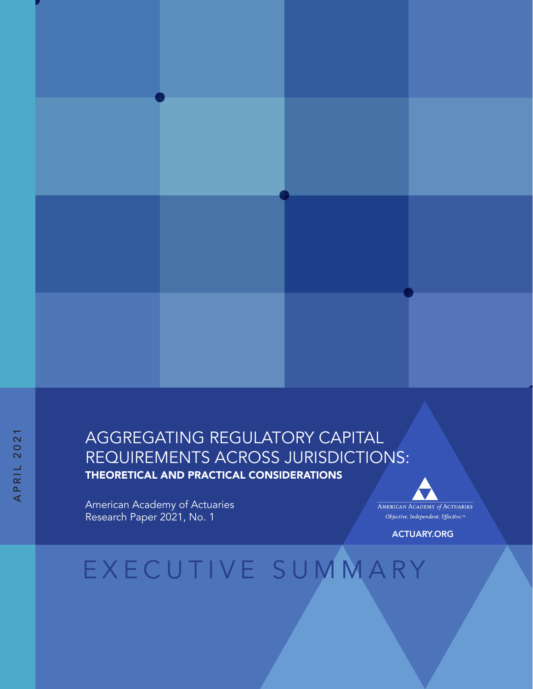#### AGGREGATING REGULATORY CAPITAL REQUIREMENTS ACROSS JURISDICTIONS: THEORETICAL AND PRACTICAL CONSIDERATIONS

American Academy of Actuaries Research Paper 2021, No. 1

AMERICAN ACADEMY of ACTUARIES Objective. Independent. Effective.™

ACTUARY.ORG

# EXECUTIVE SUMMARY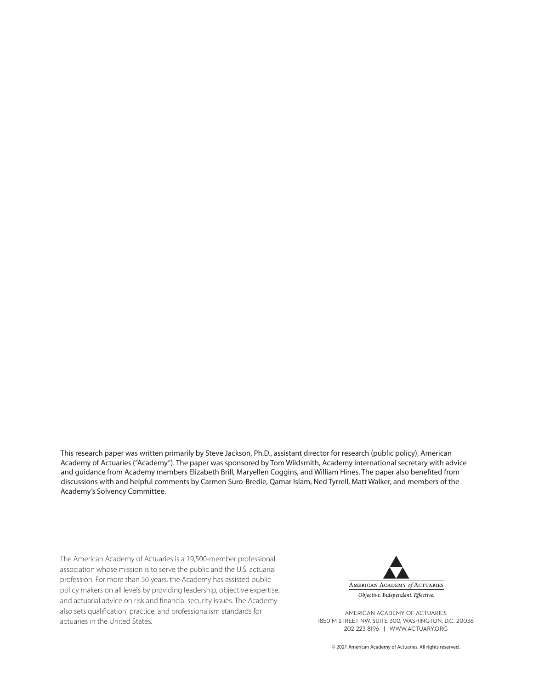This research paper was written primarily by Steve Jackson, Ph.D., assistant director for research (public policy), American Academy of Actuaries ("Academy"). The paper was sponsored by Tom Wildsmith, Academy international secretary with advice and guidance from Academy members Elizabeth Brill, Maryellen Coggins, and William Hines. The paper also benefited from discussions with and helpful comments by Carmen Suro-Bredie, Qamar Islam, Ned Tyrrell, Matt Walker, and members of the Academy's Solvency Committee.

The American Academy of Actuaries is a 19,500-member professional association whose mission is to serve the public and the U.S. actuarial profession. For more than 50 years, the Academy has assisted public policy makers on all levels by providing leadership, objective expertise, and actuarial advice on risk and financial security issues. The Academy also sets qualification, practice, and professionalism standards for actuaries in the United States.



AMERICAN ACADEMY OF ACTUARIES 1850 M STREET NW, SUITE 300, WASHINGTON, D.C. 20036 202-223-8196 | WWW.ACTUARY.ORG

© 2021 American Academy of Actuaries. All rights reserved.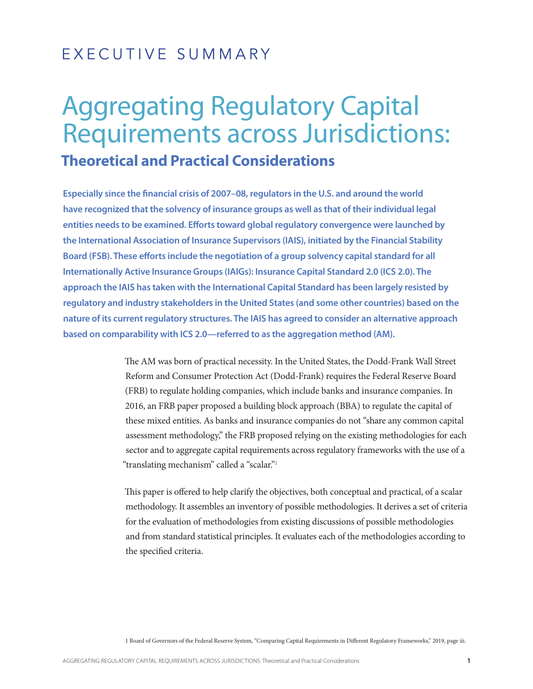### EXECUTIVE SUMMARY

## Aggregating Regulatory Capital Requirements across Jurisdictions: **Theoretical and Practical Considerations**

**Especially since the financial crisis of 2007–08, regulators in the U.S. and around the world have recognized that the solvency of insurance groups as well as that of their individual legal entities needs to be examined. Efforts toward global regulatory convergence were launched by the International Association of Insurance Supervisors (IAIS), initiated by the Financial Stability Board (FSB). These efforts include the negotiation of a group solvency capital standard for all Internationally Active Insurance Groups (IAIGs): Insurance Capital Standard 2.0 (ICS 2.0). The approach the IAIS has taken with the International Capital Standard has been largely resisted by regulatory and industry stakeholders in the United States (and some other countries) based on the nature of its current regulatory structures. The IAIS has agreed to consider an alternative approach based on comparability with ICS 2.0—referred to as the aggregation method (AM).** 

> The AM was born of practical necessity. In the United States, the Dodd-Frank Wall Street Reform and Consumer Protection Act (Dodd-Frank) requires the Federal Reserve Board (FRB) to regulate holding companies, which include banks and insurance companies. In 2016, an FRB paper proposed a building block approach (BBA) to regulate the capital of these mixed entities. As banks and insurance companies do not "share any common capital assessment methodology," the FRB proposed relying on the existing methodologies for each sector and to aggregate capital requirements across regulatory frameworks with the use of a "translating mechanism" called a "scalar."1

> This paper is offered to help clarify the objectives, both conceptual and practical, of a scalar methodology. It assembles an inventory of possible methodologies. It derives a set of criteria for the evaluation of methodologies from existing discussions of possible methodologies and from standard statistical principles. It evaluates each of the methodologies according to the specified criteria.

> 1 Board of Governors of the Federal Reserve System, "Comparing Capital Requirements in Different Regulatory Frameworks," 2019, page iii.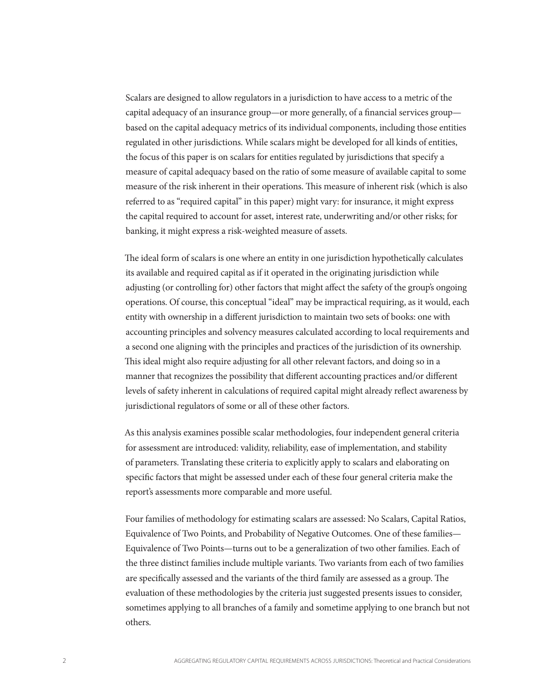Scalars are designed to allow regulators in a jurisdiction to have access to a metric of the capital adequacy of an insurance group—or more generally, of a financial services group based on the capital adequacy metrics of its individual components, including those entities regulated in other jurisdictions. While scalars might be developed for all kinds of entities, the focus of this paper is on scalars for entities regulated by jurisdictions that specify a measure of capital adequacy based on the ratio of some measure of available capital to some measure of the risk inherent in their operations. This measure of inherent risk (which is also referred to as "required capital" in this paper) might vary: for insurance, it might express the capital required to account for asset, interest rate, underwriting and/or other risks; for banking, it might express a risk-weighted measure of assets.

The ideal form of scalars is one where an entity in one jurisdiction hypothetically calculates its available and required capital as if it operated in the originating jurisdiction while adjusting (or controlling for) other factors that might affect the safety of the group's ongoing operations. Of course, this conceptual "ideal" may be impractical requiring, as it would, each entity with ownership in a different jurisdiction to maintain two sets of books: one with accounting principles and solvency measures calculated according to local requirements and a second one aligning with the principles and practices of the jurisdiction of its ownership. This ideal might also require adjusting for all other relevant factors, and doing so in a manner that recognizes the possibility that different accounting practices and/or different levels of safety inherent in calculations of required capital might already reflect awareness by jurisdictional regulators of some or all of these other factors.

As this analysis examines possible scalar methodologies, four independent general criteria for assessment are introduced: validity, reliability, ease of implementation, and stability of parameters. Translating these criteria to explicitly apply to scalars and elaborating on specific factors that might be assessed under each of these four general criteria make the report's assessments more comparable and more useful.

Four families of methodology for estimating scalars are assessed: No Scalars, Capital Ratios, Equivalence of Two Points, and Probability of Negative Outcomes. One of these families— Equivalence of Two Points—turns out to be a generalization of two other families. Each of the three distinct families include multiple variants. Two variants from each of two families are specifically assessed and the variants of the third family are assessed as a group. The evaluation of these methodologies by the criteria just suggested presents issues to consider, sometimes applying to all branches of a family and sometime applying to one branch but not others.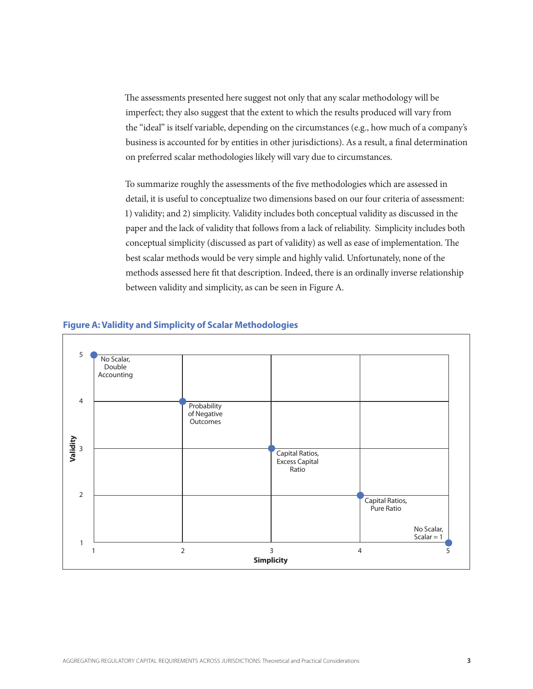The assessments presented here suggest not only that any scalar methodology will be imperfect; they also suggest that the extent to which the results produced will vary from the "ideal" is itself variable, depending on the circumstances (e.g., how much of a company's business is accounted for by entities in other jurisdictions). As a result, a final determination on preferred scalar methodologies likely will vary due to circumstances.

To summarize roughly the assessments of the five methodologies which are assessed in detail, it is useful to conceptualize two dimensions based on our four criteria of assessment: 1) validity; and 2) simplicity. Validity includes both conceptual validity as discussed in the paper and the lack of validity that follows from a lack of reliability. Simplicity includes both conceptual simplicity (discussed as part of validity) as well as ease of implementation. The best scalar methods would be very simple and highly valid. Unfortunately, none of the methods assessed here fit that description. Indeed, there is an ordinally inverse relationship between validity and simplicity, as can be seen in Figure A.



#### **Figure A: Validity and Simplicity of Scalar Methodologies**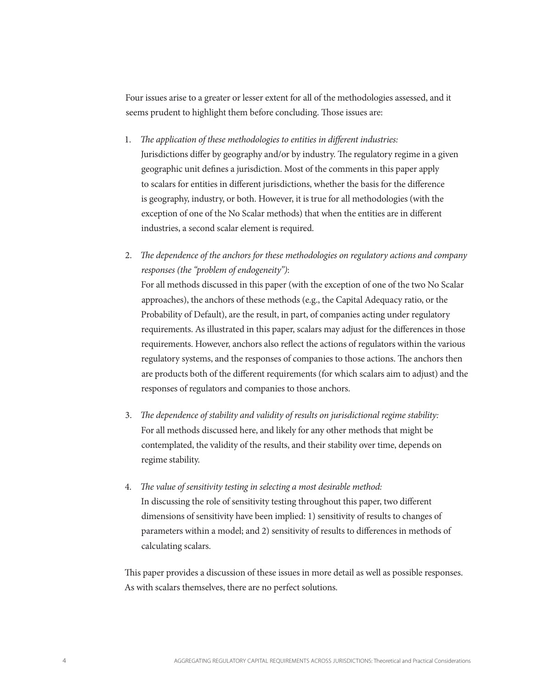Four issues arise to a greater or lesser extent for all of the methodologies assessed, and it seems prudent to highlight them before concluding. Those issues are:

- 1. *The application of these methodologies to entities in different industries:* Jurisdictions differ by geography and/or by industry. The regulatory regime in a given geographic unit defines a jurisdiction. Most of the comments in this paper apply to scalars for entities in different jurisdictions, whether the basis for the difference is geography, industry, or both. However, it is true for all methodologies (with the exception of one of the No Scalar methods) that when the entities are in different industries, a second scalar element is required.
- 2. *The dependence of the anchors for these methodologies on regulatory actions and company responses (the "problem of endogeneity")*: For all methods discussed in this paper (with the exception of one of the two No Scalar approaches), the anchors of these methods (e.g., the Capital Adequacy ratio, or the Probability of Default), are the result, in part, of companies acting under regulatory requirements. As illustrated in this paper, scalars may adjust for the differences in those requirements. However, anchors also reflect the actions of regulators within the various

regulatory systems, and the responses of companies to those actions. The anchors then are products both of the different requirements (for which scalars aim to adjust) and the responses of regulators and companies to those anchors.

- 3. *The dependence of stability and validity of results on jurisdictional regime stability:* For all methods discussed here, and likely for any other methods that might be contemplated, the validity of the results, and their stability over time, depends on regime stability.
- 4. *The value of sensitivity testing in selecting a most desirable method:* In discussing the role of sensitivity testing throughout this paper, two different dimensions of sensitivity have been implied: 1) sensitivity of results to changes of parameters within a model; and 2) sensitivity of results to differences in methods of calculating scalars.

This paper provides a discussion of these issues in more detail as well as possible responses. As with scalars themselves, there are no perfect solutions.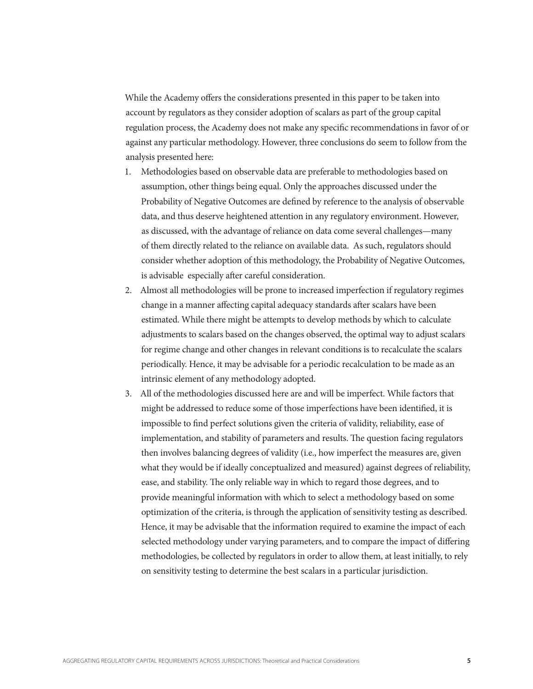While the Academy offers the considerations presented in this paper to be taken into account by regulators as they consider adoption of scalars as part of the group capital regulation process, the Academy does not make any specific recommendations in favor of or against any particular methodology. However, three conclusions do seem to follow from the analysis presented here:

- 1. Methodologies based on observable data are preferable to methodologies based on assumption, other things being equal. Only the approaches discussed under the Probability of Negative Outcomes are defined by reference to the analysis of observable data, and thus deserve heightened attention in any regulatory environment. However, as discussed, with the advantage of reliance on data come several challenges—many of them directly related to the reliance on available data. As such, regulators should consider whether adoption of this methodology, the Probability of Negative Outcomes, is advisable especially after careful consideration.
- 2. Almost all methodologies will be prone to increased imperfection if regulatory regimes change in a manner affecting capital adequacy standards after scalars have been estimated. While there might be attempts to develop methods by which to calculate adjustments to scalars based on the changes observed, the optimal way to adjust scalars for regime change and other changes in relevant conditions is to recalculate the scalars periodically. Hence, it may be advisable for a periodic recalculation to be made as an intrinsic element of any methodology adopted.
- 3. All of the methodologies discussed here are and will be imperfect. While factors that might be addressed to reduce some of those imperfections have been identified, it is impossible to find perfect solutions given the criteria of validity, reliability, ease of implementation, and stability of parameters and results. The question facing regulators then involves balancing degrees of validity (i.e., how imperfect the measures are, given what they would be if ideally conceptualized and measured) against degrees of reliability, ease, and stability. The only reliable way in which to regard those degrees, and to provide meaningful information with which to select a methodology based on some optimization of the criteria, is through the application of sensitivity testing as described. Hence, it may be advisable that the information required to examine the impact of each selected methodology under varying parameters, and to compare the impact of differing methodologies, be collected by regulators in order to allow them, at least initially, to rely on sensitivity testing to determine the best scalars in a particular jurisdiction.